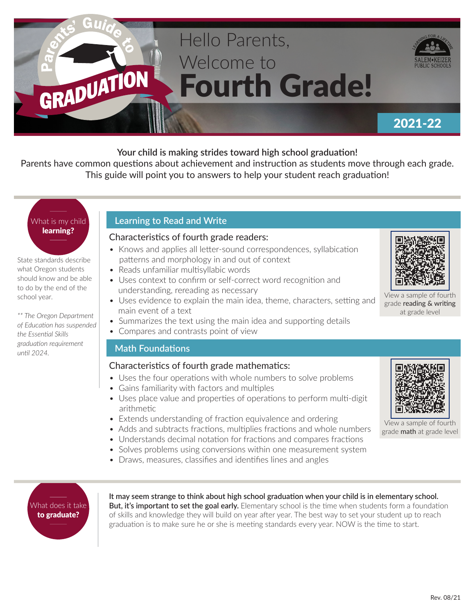# Hello Parents, Welcome to Fourth Grade!



### 2021-22

#### **Your child is making strides toward high school graduation!**

Parents have common questions about achievement and instruction as students move through each grade. This guide will point you to answers to help your student reach graduation!

## What is my child learning?

GRADUATION

State standards describe what Oregon students should know and be able to do by the end of the school year.

*\*\* The Oregon Department of Education has suspended the Essential Skills graduation requirement until 2024.*

#### **Learning to Read and Write**

#### Characteristics of fourth grade readers:

- Knows and applies all letter-sound correspondences, syllabication patterns and morphology in and out of context
- Reads unfamiliar multisyllabic words
- Uses context to confirm or self-correct word recognition and understanding, rereading as necessary
- Uses evidence to explain the main idea, theme, characters, setting and main event of a text
- Summarizes the text using the main idea and supporting details
- Compares and contrasts point of view

#### **Math Foundations**

#### Characteristics of fourth grade mathematics:

- Uses the four operations with whole numbers to solve problems
- Gains familiarity with factors and multiples
- Uses place value and properties of operations to perform multi-digit arithmetic
- Extends understanding of fraction equivalence and ordering
- Adds and subtracts fractions, multiplies fractions and whole numbers
- Understands decimal notation for fractions and compares fractions
- Solves problems using conversions within one measurement system
- Draws, measures, classifies and identifies lines and angles



**It may seem strange to think about high school graduation when your child is in elementary school. But, it's important to set the goal early.** Elementary school is the time when students form a foundation of skills and knowledge they will build on year after year. The best way to set your student up to reach graduation is to make sure he or she is meeting standards every year. NOW is the time to start.



View a sample of fourth grade reading & writing at grade level



View a sample of fourth grade math at grade level